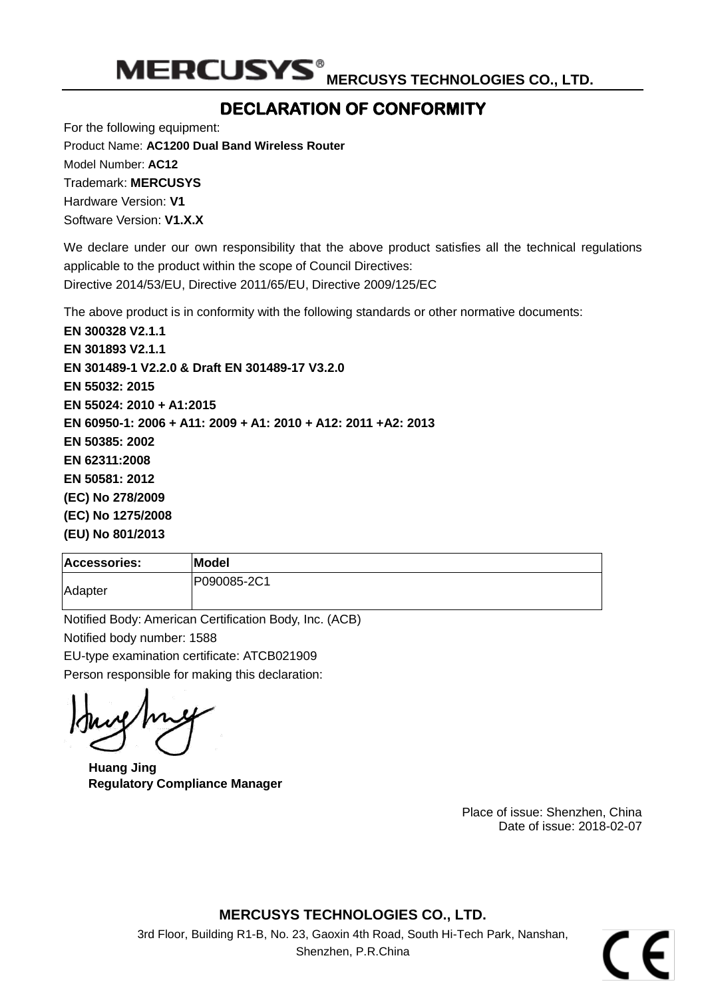MERCUSYS<sup>®</sup> MERCUSY<u>S TECHNOLOGIES CO., LTD.</u>

### **DECLARATION OF CONFORMITY**

<span id="page-0-1"></span><span id="page-0-0"></span>For the following equipment: Product Name: **AC1200 Dual Band Wireless Router** Model Number: **AC12** Trademark: **MERCUSYS** Hardware Version: **V1** Software Version: **V1.X.X**

We declare under our own responsibility that the above product satisfies all the technical regulations applicable to the product within the scope of Council Directives: Directive 2014/53/EU, Directive 2011/65/EU, Directive 2009/125/EC

The above product is in conformity with the following standards or other normative documents:

<span id="page-0-2"></span>**EN 300328 V2.1.1 EN 301893 V2.1.1 EN 301489-1 V2.2.0 & Draft EN 301489-17 V3.2.0 EN 55032: 2015 EN 55024: 2010 + A1:2015 EN 60950-1: 2006 + A11: 2009 + A1: 2010 + A12: 2011 +A2: 2013 EN 50385: 2002 EN 62311:2008 EN 50581: 2012 (EC) No 278/2009 (EC) No 1275/2008 (EU) No 801/2013**

| <b>Accessories:</b> | Model       |
|---------------------|-------------|
| Adapter             | P090085-2C1 |

Notified Body: American Certification Body, Inc. (ACB) Notified body number: 1588 EU-type examination certificate: ATCB021909 Person responsible for making this declaration:

**Huang Jing Regulatory Compliance Manager**

<span id="page-0-3"></span>Place of issue: Shenzhen, China Date of issue: 2018-02-07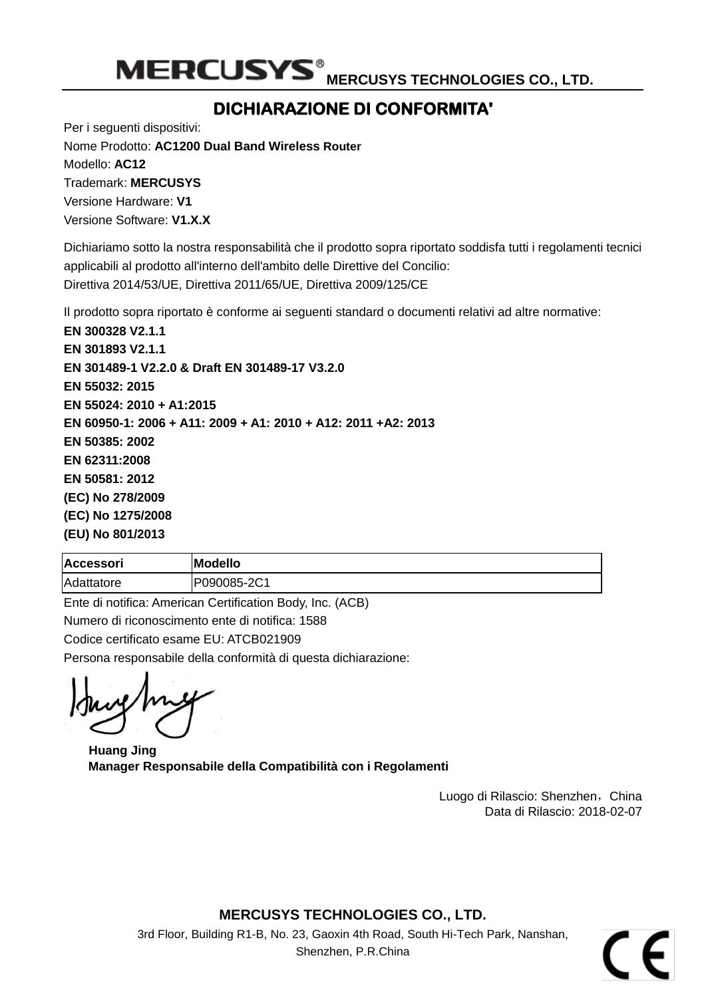MERCUSYS<sup>®</sup> MERCUSY<u>S TECHNOLOGIES CO., LTD.</u>

## **DICHIARAZIONE DI CONFORMITA'**

Per i seguenti dispositivi: Nome Prodotto: **[AC1200 Dual Band Wireless](#page-0-0) Router** Modello: **[AC12](#page-0-1)** Trademark: **MERCUSYS**

Versione Hardware: **V1** Versione Software: **V1.X.X**

Dichiariamo sotto la nostra responsabilità che il prodotto sopra riportato soddisfa tutti i regolamenti tecnici applicabili al prodotto all'interno dell'ambito delle Direttive del Concilio: Direttiva 2014/53/UE, Direttiva 2011/65/UE, Direttiva 2009/125/CE

Il prodotto sopra riportato è conforme ai seguenti standard o documenti relativi ad altre normative:

**[EN 300328 V2.1.1](#page-0-2) [EN 301893 V2.1.1](#page-0-2) EN 301489-1 V2.2.0 [& Draft EN 301489-17 V3.2.0](#page-0-2) [EN 55032: 2015](#page-0-2) [EN 55024: 2010](#page-0-2) + A1:2015 [EN 60950-1: 2006 + A11: 2009 + A1: 2010 + A12: 2011 +A2: 2013](#page-0-2) [EN 50385: 2002](#page-0-2) [EN 62311:2008](#page-0-2) [EN 50581: 2012](#page-0-2) [\(EC\) No 278/2009](#page-0-2) [\(EC\) No 1275/2008](#page-0-2) [\(EU\) No 801/2013](#page-0-2)**

| <b>Accessori</b> | <b>Modello</b> |
|------------------|----------------|
| Adattatore       | P090085-2C1    |

Ente di notifica: American Certification Body, Inc. (ACB) Numero di riconoscimento ente di notifica: 1588 Codice certificato esame EU: ATCB021909 Persona responsabile della conformità di questa dichiarazione:

**Huang Jing Manager Responsabile della Compatibilità con i Regolamenti**

Luogo di Rilascio: Shenzhen, China Data di Rilascio: [2018-02-07](#page-0-3)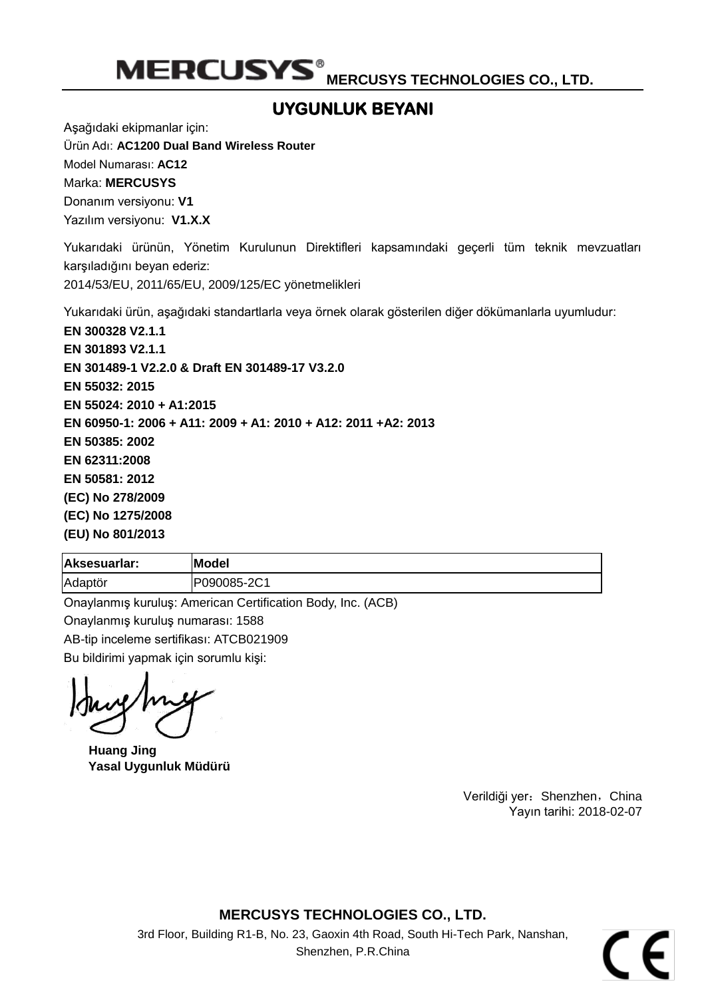MERCUSYS<sup>®</sup> MERCUSYS TECHNOLOGIES CO., LTD.

## **UYGUNLUK BEYANI**

Aşağıdaki ekipmanlar için:

Ürün Adı: **[AC1200 Dual Band Wireless Router](#page-0-0)**

Model Numarası: **[AC12](#page-0-1)**

Marka: **MERCUSYS**

Donanım versiyonu: **V1**

Yazılım versiyonu: **V1.X.X**

Yukarıdaki ürünün, Yönetim Kurulunun Direktifleri kapsamındaki geçerli tüm teknik mevzuatları karşıladığını beyan ederiz:

2014/53/EU, 2011/65/EU, 2009/125/EC yönetmelikleri

Yukarıdaki ürün, aşağıdaki standartlarla veya örnek olarak gösterilen diğer dökümanlarla uyumludur:

**[EN 300328 V2.1.1](#page-0-2) [EN 301893 V2.1.1](#page-0-2) EN 301489-1 V2.2.0 [& Draft EN 301489-17 V3.2.0](#page-0-2) [EN 55032: 2015](#page-0-2) [EN 55024: 2010](#page-0-2) + A1:2015 [EN 60950-1: 2006 + A11: 2009 + A1: 2010 + A12: 2011 +A2: 2013](#page-0-2) [EN 50385: 2002](#page-0-2) [EN 62311:2008](#page-0-2) [EN 50581: 2012](#page-0-2) [\(EC\) No 278/2009](#page-0-2) [\(EC\) No 1275/2008](#page-0-2) [\(EU\) No 801/2013](#page-0-2)**

| Aksesuarlar: | Model       |
|--------------|-------------|
| Adaptör      | P090085-2C1 |

Onaylanmış kuruluş: American Certification Body, Inc. (ACB) Onaylanmış kuruluş numarası: 1588 AB-tip inceleme sertifikası: ATCB021909 Bu bildirimi yapmak için sorumlu kişi:

**Huang Jing Yasal Uygunluk Müdürü**

Verildiği yer: Shenzhen, China Yayın tarihi: [2018-02-07](#page-0-3)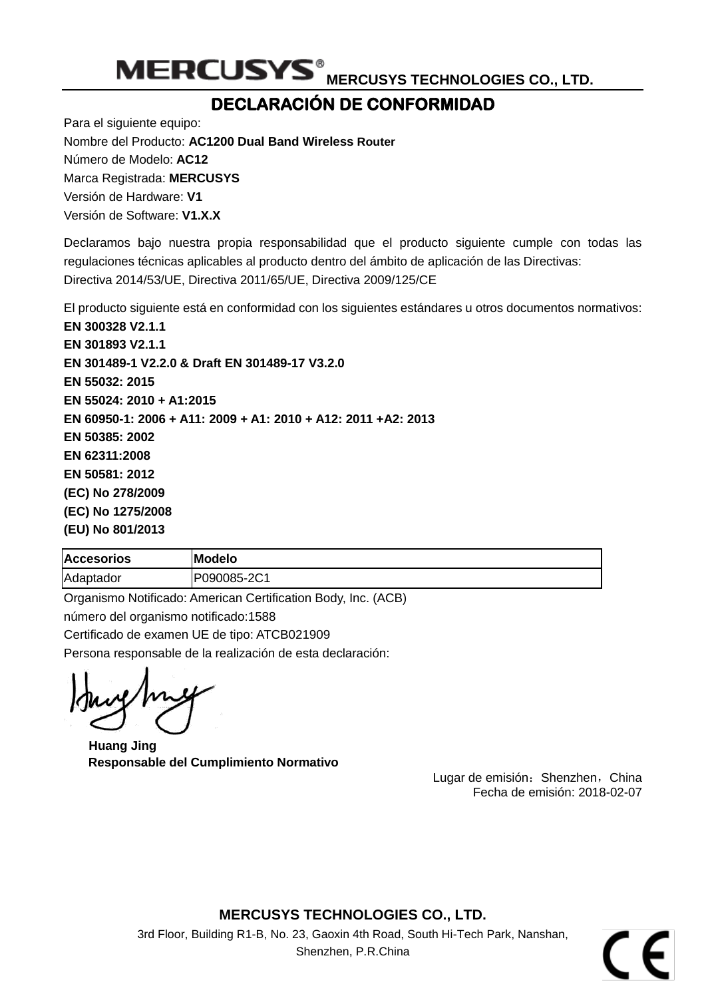

## **DECLARACIÓ N DE CONFORMIDAD**

Para el siguiente equipo: Nombre del Producto: **[AC1200 Dual Band Wireless](#page-0-0) Router** Número de Modelo: **[AC12](#page-0-1)** Marca Registrada: **MERCUSYS** Versión de Hardware: **V1** Versión de Software: **V1.X.X**

Declaramos bajo nuestra propia responsabilidad que el producto siguiente cumple con todas las regulaciones técnicas aplicables al producto dentro del ámbito de aplicación de las Directivas: Directiva 2014/53/UE, Directiva 2011/65/UE, Directiva 2009/125/CE

El producto siguiente está en conformidad con los siguientes estándares u otros documentos normativos:

**[EN 300328 V2.1.1](#page-0-2) [EN 301893 V2.1.1](#page-0-2) EN 301489-1 V2.2.0 [& Draft EN 301489-17 V3.2.0](#page-0-2) [EN 55032: 2015](#page-0-2) [EN 55024: 2010](#page-0-2) + A1:2015 [EN 60950-1: 2006 + A11: 2009 + A1: 2010 + A12: 2011 +A2: 2013](#page-0-2) [EN 50385: 2002](#page-0-2) [EN 62311:2008](#page-0-2) [EN 50581: 2012](#page-0-2) [\(EC\) No 278/2009](#page-0-2) [\(EC\) No 1275/2008](#page-0-2) [\(EU\) No 801/2013](#page-0-2)**

| <b>Accesorios</b> | <b>Modelo</b> |
|-------------------|---------------|
| Adaptador         | P090085-2C1   |

Organismo Notificado: American Certification Body, Inc. (ACB) número del organismo notificado:1588 Certificado de examen UE de tipo: ATCB021909 Persona responsable de la realización de esta declaración:

**Huang Jing Responsable del Cumplimiento Normativo**

Lugar de emisión: Shenzhen, China Fecha de emisión: [2018-02-07](#page-0-3)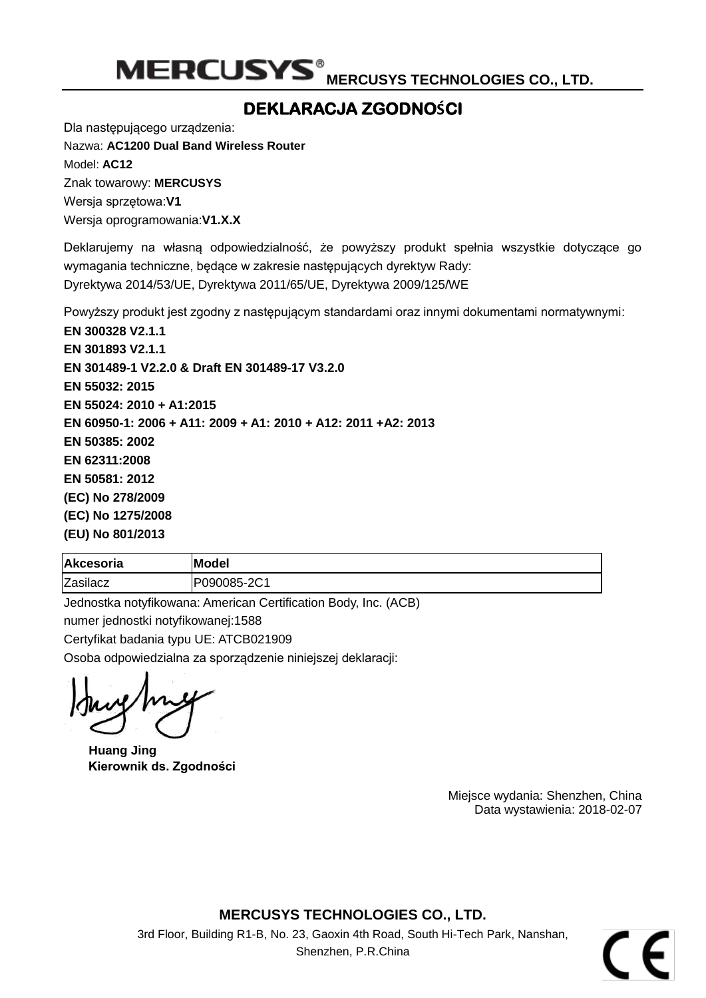## **DEKLARACJA ZGODNOŚCI**

Dla następującego urządzenia:

Nazwa: **[AC1200 Dual Band Wireless Router](#page-0-0)** Model: **[AC12](#page-0-1)**

Znak towarowy: **MERCUSYS** Wersja sprzętowa:**V1**

Wersja oprogramowania:**V1.X.X**

Deklarujemy na własną odpowiedzialność, że powyższy produkt spełnia wszystkie dotyczące go wymagania techniczne, będące w zakresie następujących dyrektyw Rady: Dyrektywa 2014/53/UE, Dyrektywa 2011/65/UE, Dyrektywa 2009/125/WE

Powyższy produkt jest zgodny z następującym standardami oraz innymi dokumentami normatywnymi:

**[EN 300328 V2.1.1](#page-0-2) [EN 301893 V2.1.1](#page-0-2) EN 301489-1 V2.2.0 [& Draft EN 301489-17 V3.2.0](#page-0-2) [EN 55032: 2015](#page-0-2) [EN 55024: 2010](#page-0-2) + A1:2015 [EN 60950-1: 2006 + A11: 2009 + A1: 2010 + A12: 2011 +A2: 2013](#page-0-2) [EN 50385: 2002](#page-0-2) [EN 62311:2008](#page-0-2) [EN 50581: 2012](#page-0-2) [\(EC\) No 278/2009](#page-0-2) [\(EC\) No 1275/2008](#page-0-2) [\(EU\) No 801/2013](#page-0-2)**

| <b>Akcesoria</b> | Model       |
|------------------|-------------|
| Zasilacz         | P090085-2C1 |

Jednostka notyfikowana: American Certification Body, Inc. (ACB)

numer jednostki notyfikowanej:1588

Certyfikat badania typu UE: ATCB021909

Osoba odpowiedzialna za sporządzenie niniejszej deklaracji:

**Huang Jing Kierownik ds. Zgodności**

Miejsce wydania: Shenzhen, China Data wystawienia[: 2018-02-07](#page-0-3)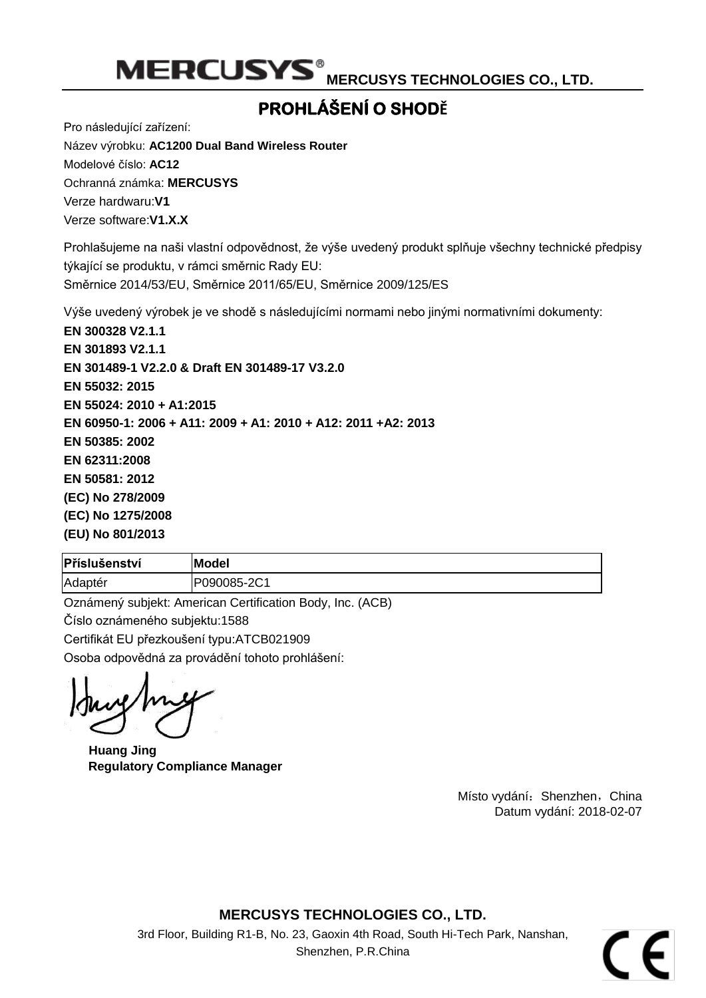MERCUSYS<sup>®</sup> MERCUSYS TECHNOLOGIES CO., LTD.

## **PROHLÁŠENÍ O SHODĚ**

Pro následující zařízení:

Název výrobku: **[AC1200 Dual Band Wireless Router](#page-0-0)** Modelové číslo: **[AC12](#page-0-1)** Ochranná známka: **MERCUSYS** Verze hardwaru:**V1** Verze software:**V1.X.X**

Prohlašujeme na naši vlastní odpovědnost, že výše uvedený produkt splňuje všechny technické předpisy týkající se produktu, v rámci směrnic Rady EU: Směrnice 2014/53/EU, Směrnice 2011/65/EU, Směrnice 2009/125/ES

Výše uvedený výrobek je ve shodě s následujícími normami nebo jinými normativními dokumenty:

**[EN 300328 V2.1.1](#page-0-2) [EN 301893 V2.1.1](#page-0-2) EN 301489-1 V2.2.0 [& Draft EN 301489-17 V3.2.0](#page-0-2) [EN 55032: 2015](#page-0-2) [EN 55024: 2010](#page-0-2) + A1:2015 [EN 60950-1: 2006 + A11: 2009 + A1: 2010 + A12: 2011 +A2: 2013](#page-0-2) [EN 50385: 2002](#page-0-2) [EN 62311:2008](#page-0-2) [EN 50581: 2012](#page-0-2) [\(EC\) No 278/2009](#page-0-2) [\(EC\) No 1275/2008](#page-0-2) [\(EU\) No 801/2013](#page-0-2)**

| Příslušenství | <b>Model</b> |
|---------------|--------------|
| Adaptér       | P090085-2C1  |

Oznámený subjekt: American Certification Body, Inc. (ACB) Číslo oznámeného subjektu:1588 Certifikát EU přezkoušení typu:ATCB021909 Osoba odpovědná za provádění tohoto prohlášení:

**Huang Jing Regulatory Compliance Manager**

Místo vydání: Shenzhen, China Datum vydání: [2018-02-07](#page-0-3)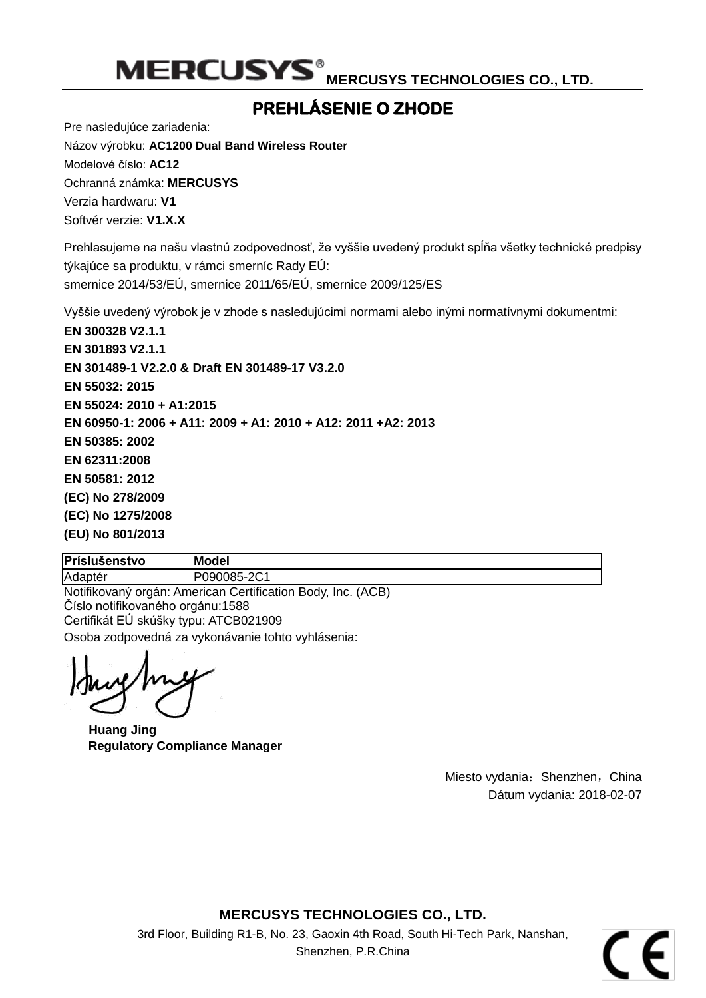## **PREHLÁ SENIE O ZHODE**

Pre nasledujúce zariadenia: Názov výrobku: **[AC1200 Dual Band Wireless Router](#page-0-0)** Modelové číslo: **[AC12](#page-0-1)** Ochranná známka: **MERCUSYS** Verzia hardwaru: **V1** Softvér verzie: **V1.X.X**

Prehlasujeme na našu vlastnú zodpovednosť, že vyššie uvedený produkt spĺňa všetky technické predpisy týkajúce sa produktu, v rámci smerníc Rady EÚ: smernice 2014/53/EÚ, smernice 2011/65/EÚ, smernice 2009/125/ES

Vyššie uvedený výrobok je v zhode s nasledujúcimi normami alebo inými normatívnymi dokumentmi:

**[EN 300328 V2.1.1](#page-0-2) [EN 301893 V2.1.1](#page-0-2) EN 301489-1 V2.2.0 [& Draft EN 301489-17 V3.2.0](#page-0-2) [EN 55032: 2015](#page-0-2) [EN 55024: 2010](#page-0-2) + A1:2015 [EN 60950-1: 2006 + A11: 2009 + A1: 2010 + A12: 2011 +A2: 2013](#page-0-2) [EN 50385: 2002](#page-0-2) [EN 62311:2008](#page-0-2) [EN 50581: 2012](#page-0-2) [\(EC\) No 278/2009](#page-0-2) [\(EC\) No 1275/2008](#page-0-2) [\(EU\) No 801/2013](#page-0-2)**

**Príslušenstvo Model**

Adaptér P090085-2C1

Notifikovaný orgán: American Certification Body, Inc. (ACB) Číslo notifikovaného orgánu:1588 Certifikát EÚ skúšky typu: ATCB021909 Osoba zodpovedná za vykonávanie tohto vyhlásenia:

**Huang Jing Regulatory Compliance Manager**

Miesto vydania: Shenzhen, China Dátum vydania[: 2018-02-07](#page-0-3)

**MERCUSYS TECHNOLOGIES CO., LTD.**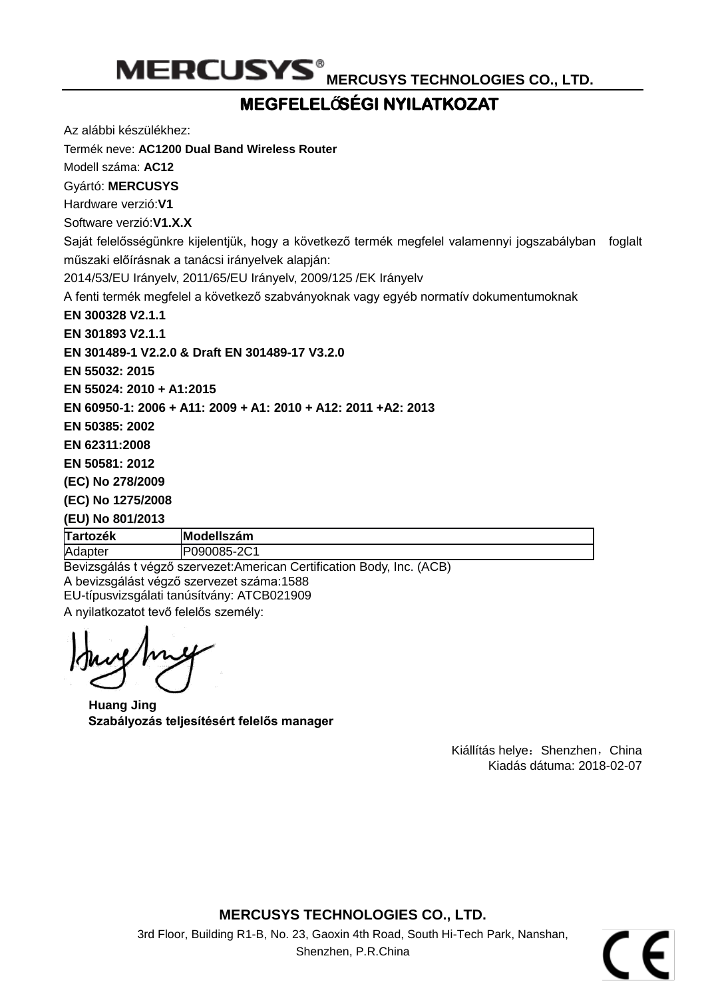# **MEGFELELŐSÉ GI NYILATKOZAT**

Az alábbi készülékhez:

Termék neve: **[AC1200 Dual Band Wireless Router](#page-0-0)**

Modell száma: **[AC12](#page-0-1)**

Gyártó: **MERCUSYS**

Hardware verzió:**V1**

Software verzió:**V1.X.X**

Saját felelősségünkre kijelentjük, hogy a következő termék megfelel valamennyi jogszabályban foglalt műszaki előírásnak a tanácsi irányelvek alapján:

2014/53/EU Irányelv, 2011/65/EU Irányelv, 2009/125 /EK Irányelv

A fenti termék megfelel a következő szabványoknak vagy egyéb normatív dokumentumoknak

**[EN 300328 V2.1.1](#page-0-2)**

**[EN 301893 V2.1.1](#page-0-2)**

**EN 301489-1 V2.2.0 [& Draft EN 301489-17 V3.2.0](#page-0-2)**

**[EN 55032: 2015](#page-0-2)**

**[EN 55024: 2010](#page-0-2) + A1:2015**

**[EN 60950-1: 2006 + A11: 2009 + A1: 2010 + A12: 2011 +A2: 2013](#page-0-2)**

**[EN 50385: 2002](#page-0-2)**

**[EN 62311:2008](#page-0-2)**

**[EN 50581: 2012](#page-0-2)**

**[\(EC\) No 278/2009](#page-0-2)**

**[\(EC\) No 1275/2008](#page-0-2)**

### **[\(EU\) No 801/2013](#page-0-2)**

**Tartozék Modellszám** Adapter P090085-2C1

Bevizsgálás t végző szervezet:American Certification Body, Inc. (ACB) A bevizsgálást végző szervezet száma:1588 EU-típusvizsgálati tanúsítvány: ATCB021909

A nyilatkozatot tevő felelős személy:

**Huang Jing Szabályozás teljesítésért felelős manager**

Kiállítás helye: Shenzhen, China Kiadás dátuma[: 2018-02-07](#page-0-3)

**MERCUSYS TECHNOLOGIES CO., LTD.**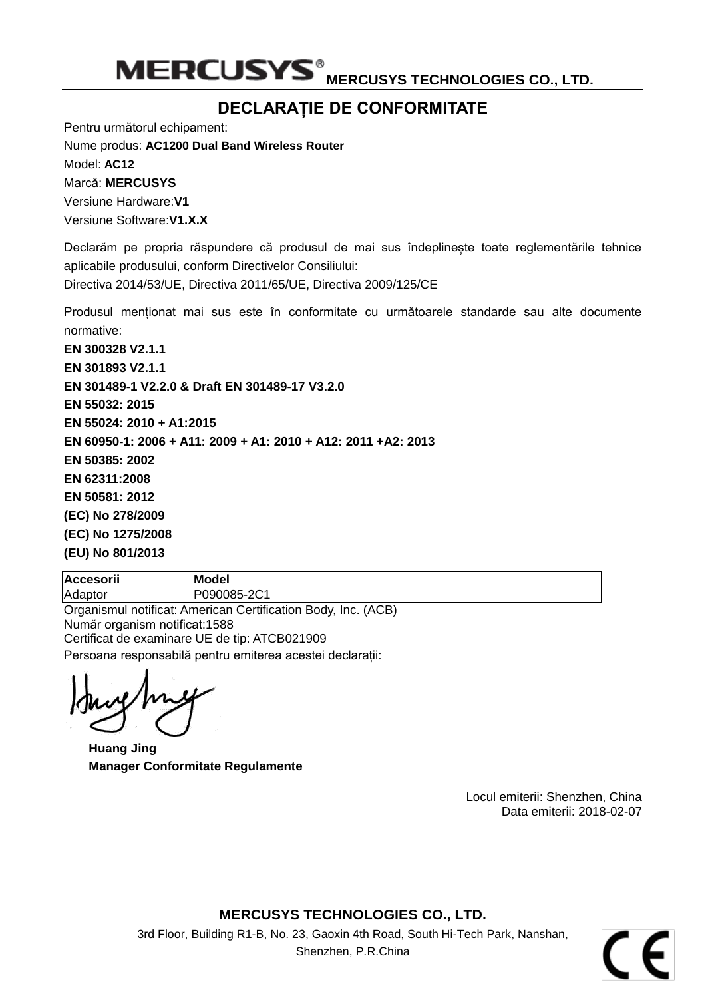MERCUSYS<sup>®</sup> MERCUSY<u>S TECHNOLOGIES CO., LTD.</u>

## **DECLARAȚIE DE CONFORMITATE**

Pentru următorul echipament:

Nume produs: **[AC1200 Dual Band Wireless Router](#page-0-0)** Model: **[AC12](#page-0-1)** Marcă: **MERCUSYS**

Versiune Hardware:**V1** Versiune Software:**V1.X.X**

Declarăm pe propria răspundere că produsul de mai sus îndeplinește toate reglementările tehnice aplicabile produsului, conform Directivelor Consiliului:

Directiva 2014/53/UE, Directiva 2011/65/UE, Directiva 2009/125/CE

Produsul menționat mai sus este în conformitate cu următoarele standarde sau alte documente normative:

**[EN 300328 V2.1.1](#page-0-2) [EN 301893 V2.1.1](#page-0-2) EN 301489-1 V2.2.0 [& Draft EN 301489-17 V3.2.0](#page-0-2) [EN 55032: 2015](#page-0-2) [EN 55024: 2010](#page-0-2) + A1:2015 [EN 60950-1: 2006 + A11: 2009 + A1: 2010 + A12: 2011 +A2: 2013](#page-0-2) [EN 50385: 2002](#page-0-2) [EN 62311:2008](#page-0-2) [EN 50581: 2012](#page-0-2) [\(EC\) No 278/2009](#page-0-2) [\(EC\) No 1275/2008](#page-0-2) [\(EU\) No 801/2013](#page-0-2)**

| <b>Accesorii</b> | <b>IModel</b>                                                |
|------------------|--------------------------------------------------------------|
| Adaptor          | P090085-2C1                                                  |
|                  | Organismul notificat: American Certification Body Inc. (ACB) |

Organismul notificat: American Certification Body, Inc. (ACB) Număr organism notificat:1588 Certificat de examinare UE de tip: ATCB021909 Persoana responsabilă pentru emiterea acestei declarații:

**Huang Jing Manager Conformitate Regulamente**

Locul emiterii: Shenzhen, China Data emiterii[: 2018-02-07](#page-0-3)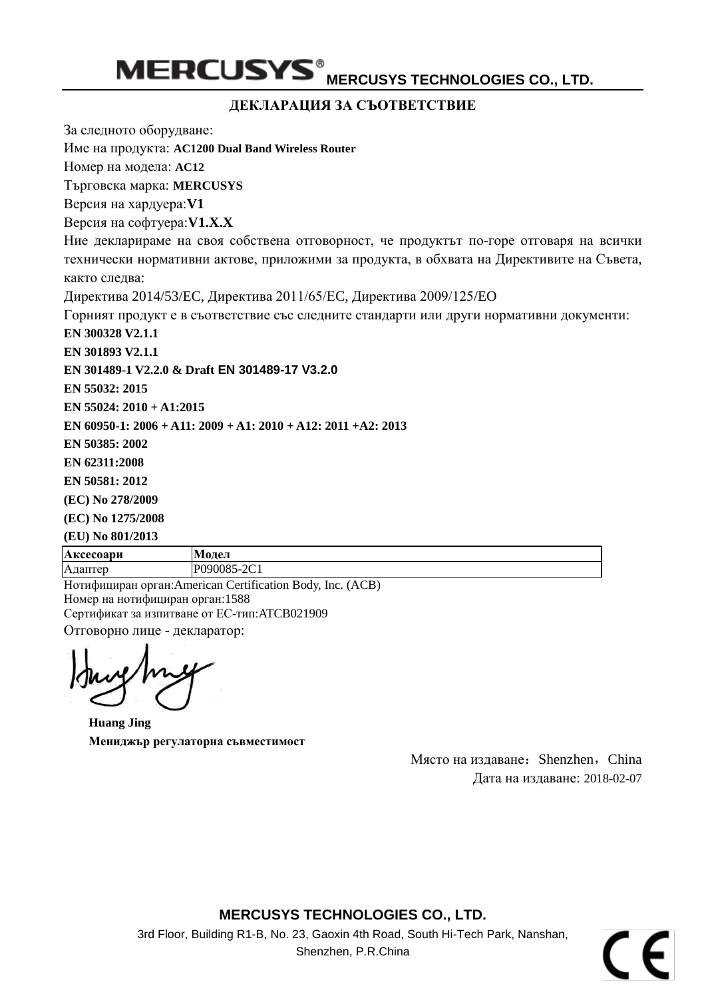#### **ДЕКЛАРАЦИЯ ЗА СЪОТВЕТСТВИЕ**

За следното оборудване:

Име на продукта: **[AC1200 Dual Band Wireless Router](#page-0-0)**

Номер на модела: **[AC12](#page-0-1)**

Търговска марка: **MERCUSYS**

Версия на хардуера:**V1**

Версия на софтуера:**V1.X.X**

Ние декларираме на своя собствена отговорност, че продуктът по-горе отговаря на всички технически нормативни актове, приложими за продукта, в обхвата на Директивите на Съвета, както следва:

Директива 2014/53/EC, Директива 2011/65/ЕC, Директива 2009/125/EO

Горният продукт е в съответствие със следните стандарти или други нормативни документи:

**[EN 300328 V2.1.1](#page-0-2)**

**[EN 301893 V2.1.1](#page-0-2)**

**EN 301489-1 V2.2.0 & Draft [EN 301489-17 V3.2.0](#page-0-2)**

**[EN 55032: 2015](#page-0-2)**

**[EN 55024: 2010](#page-0-2) + A1:2015**

**[EN 60950-1: 2006 + A11: 2009 + A1: 2010 + A12: 2011 +A2: 2013](#page-0-2)**

**[EN 50385: 2002](#page-0-2)**

**[EN 62311:2008](#page-0-2)**

**[EN 50581: 2012](#page-0-2)**

**[\(EC\) No 278/2009](#page-0-2)**

**[\(EC\) No 1275/2008](#page-0-2)**

**[\(EU\) No 801/2013](#page-0-2)**

**Аксесоари Модел** Адаптер P090085-2C1

Нотифициран орган:American Certification Body, Inc. (ACB) Номер на нотифициран орган:1588 Сертификат за изпитване от ЕС-тип:ATCB021909 Отговорно лице - декларатор:

**Huang Jing Мениджър регулаторна съвместимост**

Място на издаване: Shenzhen, China Дата на издаване: [2018-02-07](#page-0-3)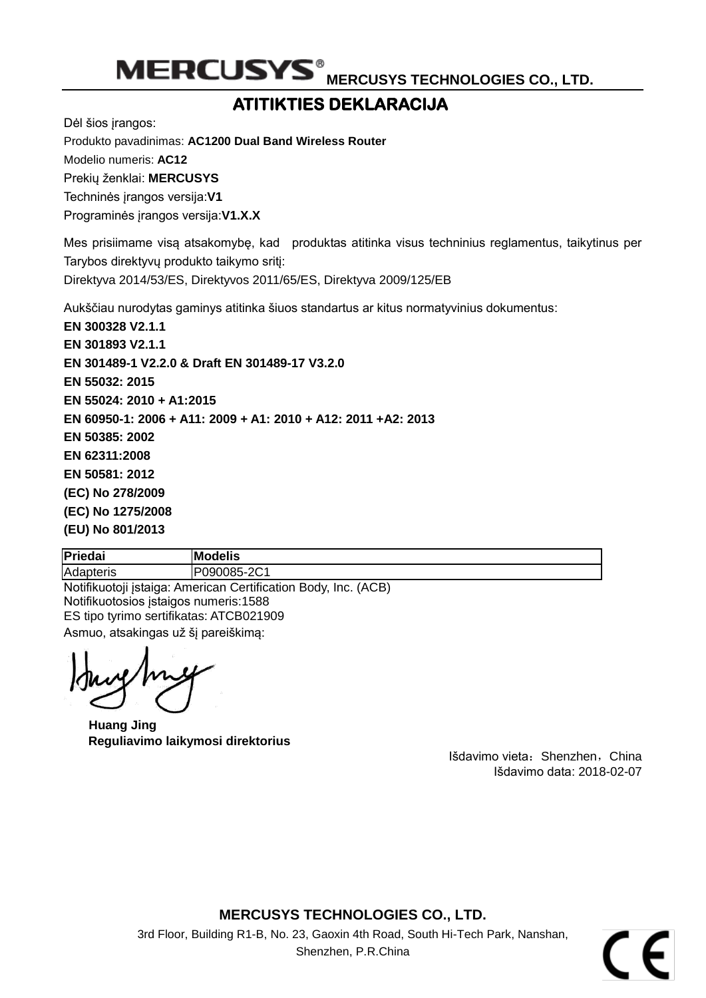## **ATITIKTIES DEKLARACIJA**

Dėl šios įrangos:

Produkto pavadinimas: **[AC1200 Dual Band Wireless Router](#page-0-0)**

Modelio numeris: **[AC12](#page-0-1)**

Prekių ženklai: **MERCUSYS**

Techninės įrangos versija:**V1**

Programinės įrangos versija:**V1.X.X**

Mes prisiimame visą atsakomybę, kad produktas atitinka visus techninius reglamentus, taikytinus per Tarybos direktyvų produkto taikymo sritį:

Direktyva 2014/53/ES, Direktyvos 2011/65/ES, Direktyva 2009/125/EB

Aukščiau nurodytas gaminys atitinka šiuos standartus ar kitus normatyvinius dokumentus:

**[EN 300328 V2.1.1](#page-0-2) [EN 301893 V2.1.1](#page-0-2) EN 301489-1 V2.2.0 [& Draft EN 301489-17 V3.2.0](#page-0-2) [EN 55032: 2015](#page-0-2) [EN 55024: 2010](#page-0-2) + A1:2015 [EN 60950-1: 2006 + A11: 2009 + A1: 2010 + A12: 2011 +A2: 2013](#page-0-2) [EN 50385: 2002](#page-0-2) [EN 62311:2008](#page-0-2) [EN 50581: 2012](#page-0-2) [\(EC\) No 278/2009](#page-0-2) [\(EC\) No 1275/2008](#page-0-2) [\(EU\) No 801/2013](#page-0-2)**

**Priedai Modelis** Adapteris P090085-2C1 Notifikuotoji įstaiga: American Certification Body, Inc. (ACB) Notifikuotosios įstaigos numeris:1588

ES tipo tyrimo sertifikatas: ATCB021909 Asmuo, atsakingas už šį pareiškimą:

**Huang Jing Reguliavimo laikymosi direktorius**

Išdavimo vieta: Shenzhen, China Išdavimo data[: 2018-02-07](#page-0-3)

### **MERCUSYS TECHNOLOGIES CO., LTD.**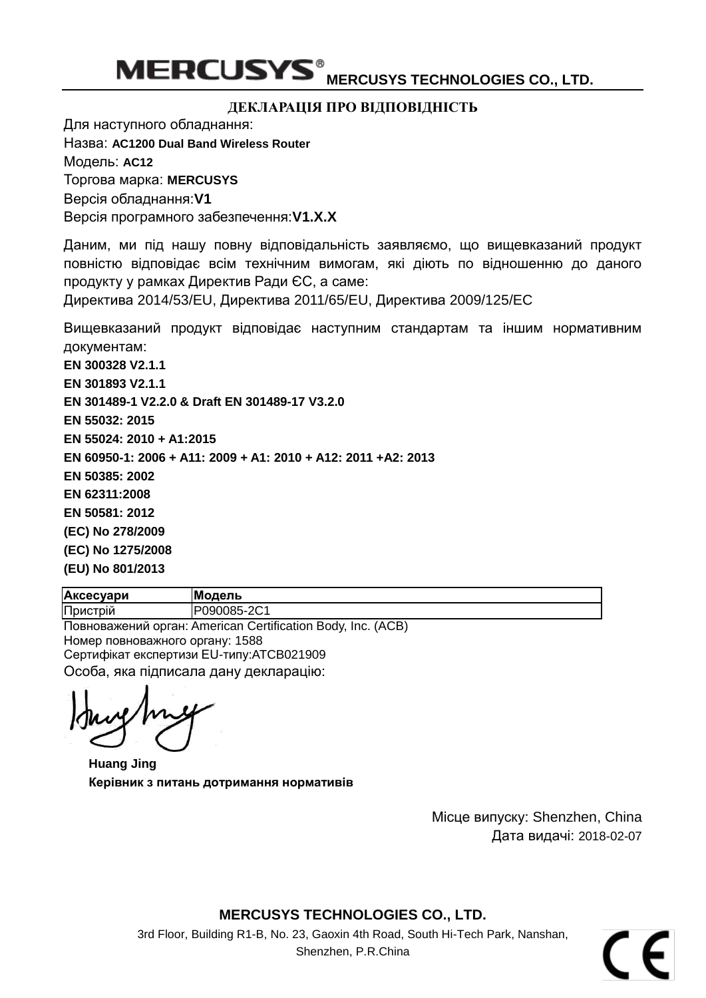#### **ДЕКЛАРАЦІЯ ПРО ВІДПОВІДНІСТЬ**

Для наступного обладнання:

Назва: **[AC1200 Dual Band Wireless Router](#page-0-0)**

Модель: **[AC12](#page-0-1)**

Торгова марка: **MERCUSYS**

Версія обладнання:**V1**

Версія програмного забезпечення:**V1.X.X**

Даним, ми під нашу повну відповідальність заявляємо, що вищевказаний продукт повністю відповідає всім технічним вимогам, які діють по відношенню до даного продукту у рамках Директив Ради ЄС, а саме:

Директива 2014/53/EU, Директива 2011/65/EU, Директива 2009/125/EC

Вищевказаний продукт відповідає наступним стандартам та іншим нормативним документам:

**[EN 300328 V2.1.1](#page-0-2)**

**[EN 301893 V2.1.1](#page-0-2)**

**EN 301489-1 V2.2.0 [& Draft EN 301489-17 V3.2.0](#page-0-2)**

**[EN 55032: 2015](#page-0-2)**

**[EN 55024: 2010](#page-0-2) + A1:2015**

**[EN 60950-1: 2006 + A11: 2009 + A1: 2010 + A12: 2011 +A2: 2013](#page-0-2)**

**[EN 50385: 2002](#page-0-2)**

**[EN 62311:2008](#page-0-2)**

**[EN 50581: 2012](#page-0-2)**

**[\(EC\) No 278/2009](#page-0-2)**

**[\(EC\) No 1275/2008](#page-0-2)**

**[\(EU\) No 801/2013](#page-0-2)**

**Аксесуари Модель** Пристрій P090085-2C1

Повноважений орган: American Certification Body, Inc. (ACB) Номер повноважного органу: 1588 Сертифікат експертизи EU-типу:ATCB021909 Особа, яка підписала дану декларацію:

**Huang Jing Керівник з питань дотримання нормативів** 

Місце випуску: Shenzhen, China Дата видачі: [2018-02-07](#page-0-3)

**MERCUSYS TECHNOLOGIES CO., LTD.**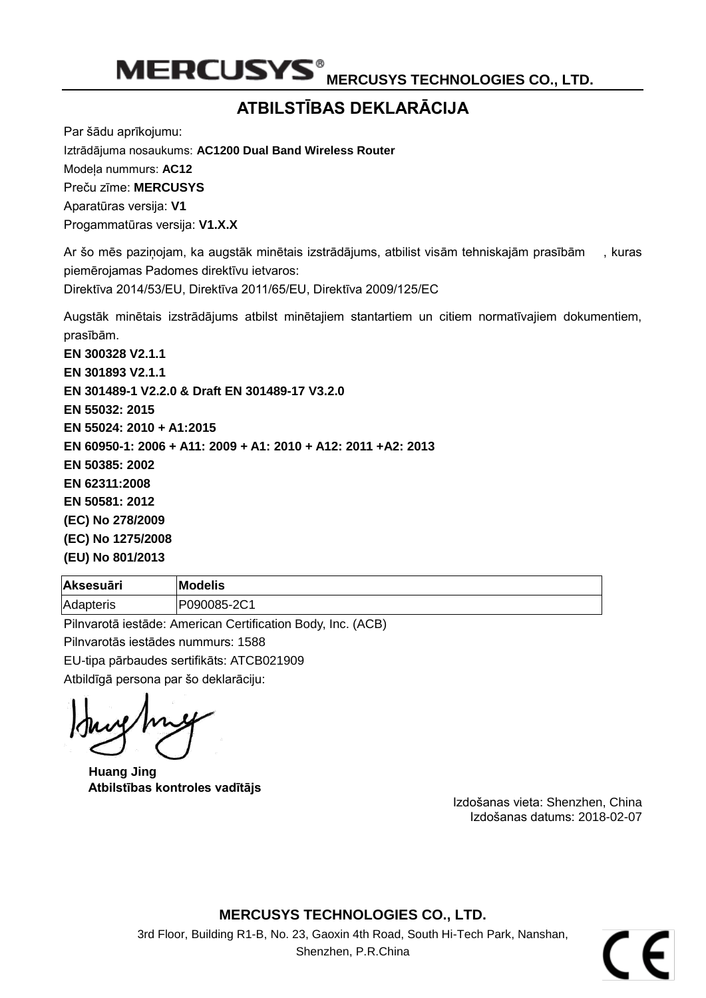MERCUSYS<sup>®</sup> MERCUSYS TECHNOLOGIES CO., LTD.

## **ATBILSTĪBAS DEKLARĀCIJA**

Par šādu aprīkojumu: Iztrādājuma nosaukums: **AC1200 Dual Band Wireless Router** Modeļa nummurs: **AC12** Preču zīme: **MERCUSYS** Aparatūras versija: **V1**

Progammatūras versija: **V1.X.X**

Ar šo mēs paziņojam, ka augstāk minētais izstrādājums, atbilist visām tehniskajām prasībām , kuras piemērojamas Padomes direktīvu ietvaros:

Direktīva 2014/53/EU, Direktīva 2011/65/EU, Direktīva 2009/125/EC

Augstāk minētais izstrādājums atbilst minētajiem stantartiem un citiem normatīvajiem dokumentiem, prasībām.

**EN 300328 V2.1.1 EN 301893 V2.1.1 EN 301489-1 V2.2.0 & Draft EN 301489-17 V3.2.0 EN 55032: 2015 EN 55024: 2010 + A1:2015 EN 60950-1: 2006 + A11: 2009 + A1: 2010 + A12: 2011 +A2: 2013 EN 50385: 2002 EN 62311:2008 EN 50581: 2012 (EC) No 278/2009 (EC) No 1275/2008 (EU) No 801/2013**

| <b>Aksesuāri</b> | <b>Modelis</b> |
|------------------|----------------|
| Adapteris        | P090085-2C1    |
| ___<br>----      |                |

Pilnvarotā iestāde: American Certification Body, Inc. (ACB)

Pilnvarotās iestādes nummurs: 1588

EU-tipa pārbaudes sertifikāts: ATCB021909

Atbildīgā persona par šo deklarāciju:

**Huang Jing Atbilstības kontroles vadītājs**

Izdošanas vieta: Shenzhen, China Izdošanas datums: 2018-02-07